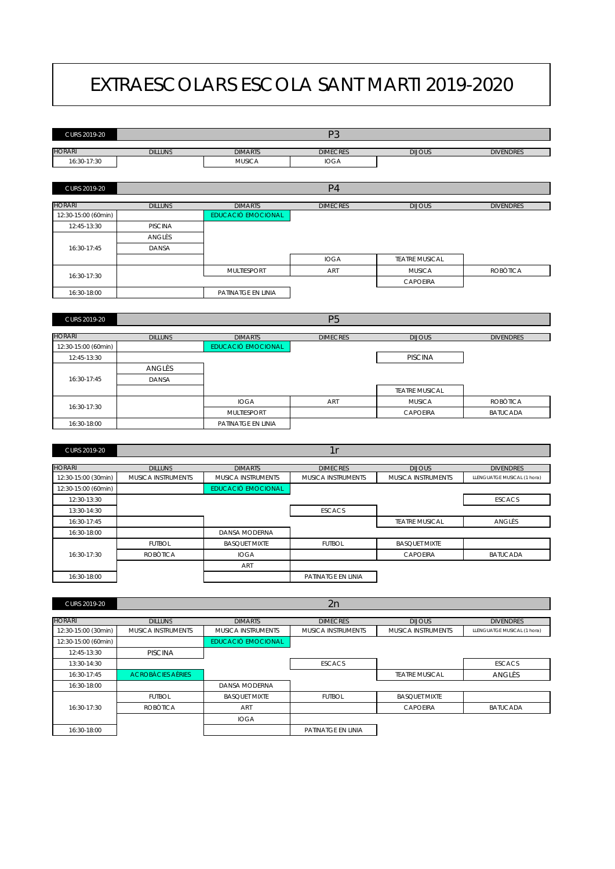## EXTRAESCOLARS ESCOLA SANT MARTI 2019-2020

| CURS 2019-20        |                          |                           | P <sub>3</sub>     |                       |                             |
|---------------------|--------------------------|---------------------------|--------------------|-----------------------|-----------------------------|
| <b>HORARI</b>       | <b>DILLUNS</b>           | <b>DIMARTS</b>            | <b>DIMECRES</b>    | <b>DIJOUS</b>         | <b>DIVENDRES</b>            |
| 16:30-17:30         |                          | <b>MUSICA</b>             | <b>IOGA</b>        |                       |                             |
|                     |                          |                           |                    |                       |                             |
| CURS 2019-20        |                          |                           | P <sub>4</sub>     |                       |                             |
|                     |                          |                           |                    |                       |                             |
| <b>HORARI</b>       | <b>DILLUNS</b>           | <b>DIMARTS</b>            | <b>DIMECRES</b>    | <b>DIJOUS</b>         | <b>DIVENDRES</b>            |
| 12:30-15:00 (60min) |                          | <b>EDUCACIÓ EMOCIONAL</b> |                    |                       |                             |
| 12:45-13:30         | <b>PISCINA</b>           |                           |                    |                       |                             |
|                     | ANGLÈS                   |                           |                    |                       |                             |
| 16:30-17:45         | DANSA                    |                           |                    |                       |                             |
|                     |                          |                           | <b>IOGA</b>        | <b>TEATRE MUSICAL</b> |                             |
| 16:30-17:30         |                          | <b>MULTIESPORT</b>        | ART                | <b>MUSICA</b>         | <b>ROBOTICA</b>             |
|                     |                          |                           |                    | CAPOEIRA              |                             |
| 16:30-18:00         |                          | PATINATGE EN LINIA        |                    |                       |                             |
|                     |                          |                           |                    |                       |                             |
| CURS 2019-20        |                          |                           | P <sub>5</sub>     |                       |                             |
|                     |                          |                           |                    |                       |                             |
| <b>HORARI</b>       | <b>DILLUNS</b>           | <b>DIMARTS</b>            | <b>DIMECRES</b>    | <b>DIJOUS</b>         | <b>DIVENDRES</b>            |
| 12:30-15:00 (60min) |                          | <b>EDUCACIÓ EMOCIONAL</b> |                    |                       |                             |
| 12:45-13:30         |                          |                           |                    | <b>PISCINA</b>        |                             |
|                     | ANGLÈS                   |                           |                    |                       |                             |
| 16:30-17:45         | DANSA                    |                           |                    |                       |                             |
|                     |                          |                           |                    | <b>TEATRE MUSICAL</b> |                             |
| 16:30-17:30         |                          | <b>IOGA</b>               | ART                | <b>MUSICA</b>         | <b>ROBOTICA</b>             |
|                     |                          | <b>MULTIESPORT</b>        |                    | <b>CAPOEIRA</b>       | <b>BATUCADA</b>             |
| 16:30-18:00         |                          | PATINATGE EN LINIA        |                    |                       |                             |
|                     |                          |                           |                    |                       |                             |
| CURS 2019-20        |                          |                           | 1r                 |                       |                             |
| <b>HORARI</b>       | <b>DILLUNS</b>           | <b>DIMARTS</b>            | <b>DIMECRES</b>    | <b>DIJOUS</b>         | <b>DIVENDRES</b>            |
| 12:30-15:00 (30min) | MUSICA INSTRUMENTS       | MUSICA INSTRUMENTS        | MUSICA INSTRUMENTS | MUSICA INSTRUMENTS    | LLENGUATGE MUSICAL (1 hora) |
| 12:30-15:00 (60min) |                          | <b>EDUCACIÓ EMOCIONAL</b> |                    |                       |                             |
| 12:30-13:30         |                          |                           |                    |                       | <b>ESCACS</b>               |
| 13:30-14:30         |                          |                           | <b>ESCACS</b>      |                       |                             |
| 16:30-17:45         |                          |                           |                    | <b>TEATRE MUSICAL</b> | ANGLÈS                      |
| 16:30-18:00         |                          | DANSA MODERNA             |                    |                       |                             |
|                     | <b>FUTBOL</b>            | <b>BASQUET MIXTE</b>      | <b>FUTBOL</b>      | <b>BASQUET MIXTE</b>  |                             |
| 16:30-17:30         | <b>ROBOTICA</b>          | <b>IOGA</b>               |                    | <b>CAPOEIRA</b>       | <b>BATUCADA</b>             |
|                     |                          | ART                       |                    |                       |                             |
| 16:30-18:00         |                          |                           | PATINATGE EN LINIA |                       |                             |
|                     |                          |                           |                    |                       |                             |
| CURS 2019-20        |                          |                           |                    |                       |                             |
|                     |                          |                           | 2n                 |                       |                             |
| <b>HORARI</b>       | <b>DILLUNS</b>           | <b>DIMARTS</b>            | <b>DIMECRES</b>    | <b>DIJOUS</b>         | <b>DIVENDRES</b>            |
| 12:30-15:00 (30min) | MUSICA INSTRUMENTS       | MUSICA INSTRUMENTS        | MUSICA INSTRUMENTS | MUSICA INSTRUMENTS    | LLENGUATGE MUSICAL (1 hora) |
| 12:30-15:00 (60min) |                          | <b>EDUCACIÓ EMOCIONAL</b> |                    |                       |                             |
| 12:45-13:30         | <b>PISCINA</b>           |                           |                    |                       |                             |
| 13:30-14:30         |                          |                           | <b>ESCACS</b>      |                       | <b>ESCACS</b>               |
| 16:30-17:45         | <b>ACROBÀCIES AÈRIES</b> |                           |                    | <b>TEATRE MUSICAL</b> | ANGLÈS                      |
| 16:30-18:00         |                          | DANSA MODERNA             |                    |                       |                             |

FUTBOL BASQUET MIXTE FUTBOL BASQUET MIXTE

ROBÒTICA I ART I CAPOEIRA I BATUCADA

IOGA 16:30-18:00 PATINATGE EN LINIA

16:30-17:30